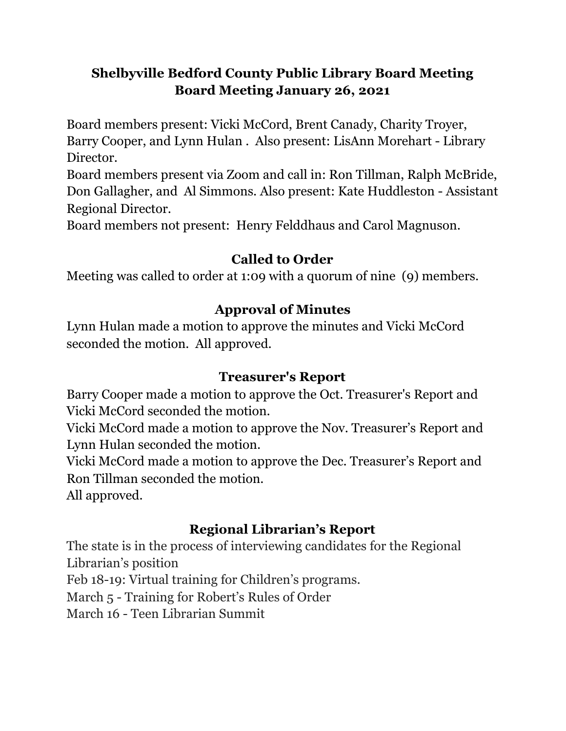## **Shelbyville Bedford County Public Library Board Meeting Board Meeting January 26, 2021**

Board members present: Vicki McCord, Brent Canady, Charity Troyer, Barry Cooper, and Lynn Hulan . Also present: LisAnn Morehart - Library Director.

Board members present via Zoom and call in: Ron Tillman, Ralph McBride, Don Gallagher, and Al Simmons. Also present: Kate Huddleston - Assistant Regional Director.

Board members not present: Henry Felddhaus and Carol Magnuson.

## **Called to Order**

Meeting was called to order at 1:09 with a quorum of nine (9) members.

## **Approval of Minutes**

Lynn Hulan made a motion to approve the minutes and Vicki McCord seconded the motion. All approved.

## **Treasurer's Report**

Barry Cooper made a motion to approve the Oct. Treasurer's Report and Vicki McCord seconded the motion.

Vicki McCord made a motion to approve the Nov. Treasurer's Report and Lynn Hulan seconded the motion.

Vicki McCord made a motion to approve the Dec. Treasurer's Report and Ron Tillman seconded the motion.

All approved.

# **Regional Librarian's Report**

The state is in the process of interviewing candidates for the Regional Librarian's position

Feb 18-19: Virtual training for Children's programs.

March 5 - Training for Robert's Rules of Order

March 16 - Teen Librarian Summit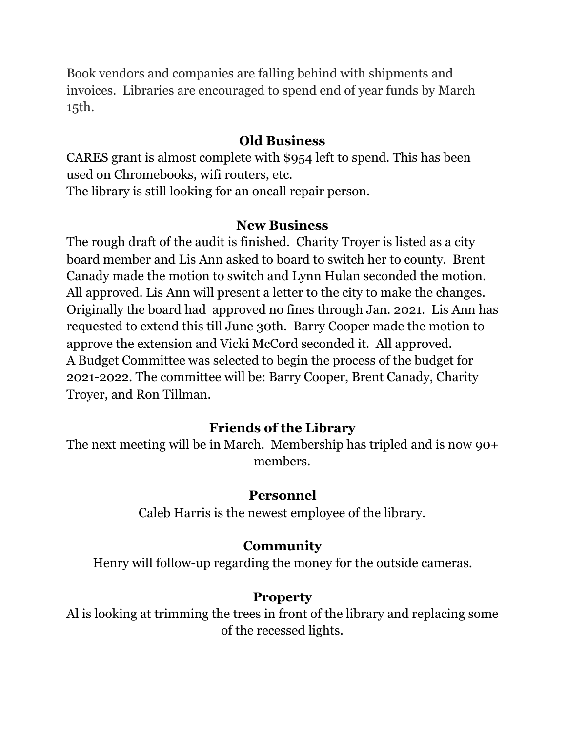Book vendors and companies are falling behind with shipments and invoices. Libraries are encouraged to spend end of year funds by March 15th.

### **Old Business**

CARES grant is almost complete with \$954 left to spend. This has been used on Chromebooks, wifi routers, etc. The library is still looking for an oncall repair person.

#### **New Business**

The rough draft of the audit is finished. Charity Troyer is listed as a city board member and Lis Ann asked to board to switch her to county. Brent Canady made the motion to switch and Lynn Hulan seconded the motion. All approved. Lis Ann will present a letter to the city to make the changes. Originally the board had approved no fines through Jan. 2021. Lis Ann has requested to extend this till June 30th. Barry Cooper made the motion to approve the extension and Vicki McCord seconded it. All approved. A Budget Committee was selected to begin the process of the budget for 2021-2022. The committee will be: Barry Cooper, Brent Canady, Charity Troyer, and Ron Tillman.

### **Friends of the Library**

The next meeting will be in March. Membership has tripled and is now 90+ members.

#### **Personnel**

Caleb Harris is the newest employee of the library.

### **Community**

Henry will follow-up regarding the money for the outside cameras.

### **Property**

Al is looking at trimming the trees in front of the library and replacing some of the recessed lights.